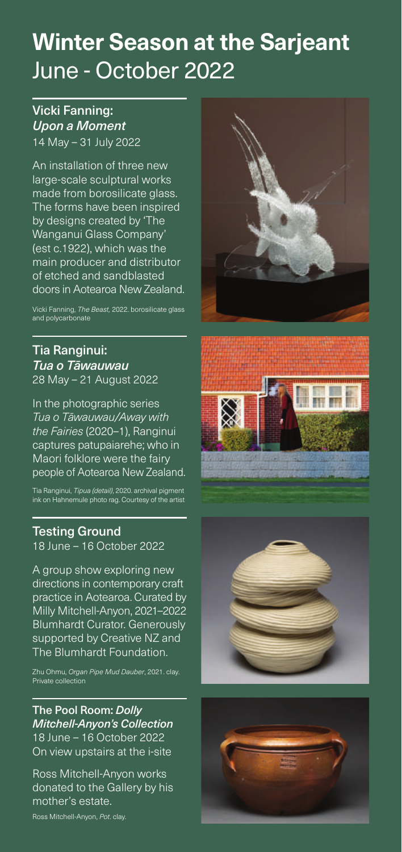# **Winter Season at the Sarjeant** June - October 2022

### Vicki Fanning: *Upon a Moment* 14 May – 31 July 2022

An installation of three new large-scale sculptural works made from borosilicate glass. The forms have been inspired by designs created by 'The Wanganui Glass Company' (est c.1922), which was the main producer and distributor of etched and sandblasted doors in Aotearoa New Zealand.

Vicki Fanning, *The Beast,* 2022. borosilicate glass and polycarbonate

### Tia Ranginui: *Tua o Tāwauwau* 28 May – 21 August 2022

In the photographic series *Tua o Tāwauwau/Away with the Fairies* (2020–1), Ranginui captures patupaiarehe; who in Maori folklore were the fairy people of Aotearoa New Zealand.

Tia Ranginui, *Tipua (detail)*, 2020. archival pigment ink on Hahnemule photo rag. Courtesy of the artist

#### Testing Ground 18 June – 16 October 2022

A group show exploring new directions in contemporary craft practice in Aotearoa. Curated by Milly Mitchell-Anyon, 2021–2022 Blumhardt Curator. Generously supported by Creative NZ and The Blumhardt Foundation.

Zhu Ohmu, *Organ Pipe Mud Dauber*, 2021. clay. Private collection

The Pool Room: *Dolly Mitchell-Anyon's Collection* 18 June – 16 October 2022 On view upstairs at the i-site

Ross Mitchell-Anyon works donated to the Gallery by his mother's estate.

Ross Mitchell-Anyon, *Pot*. clay.